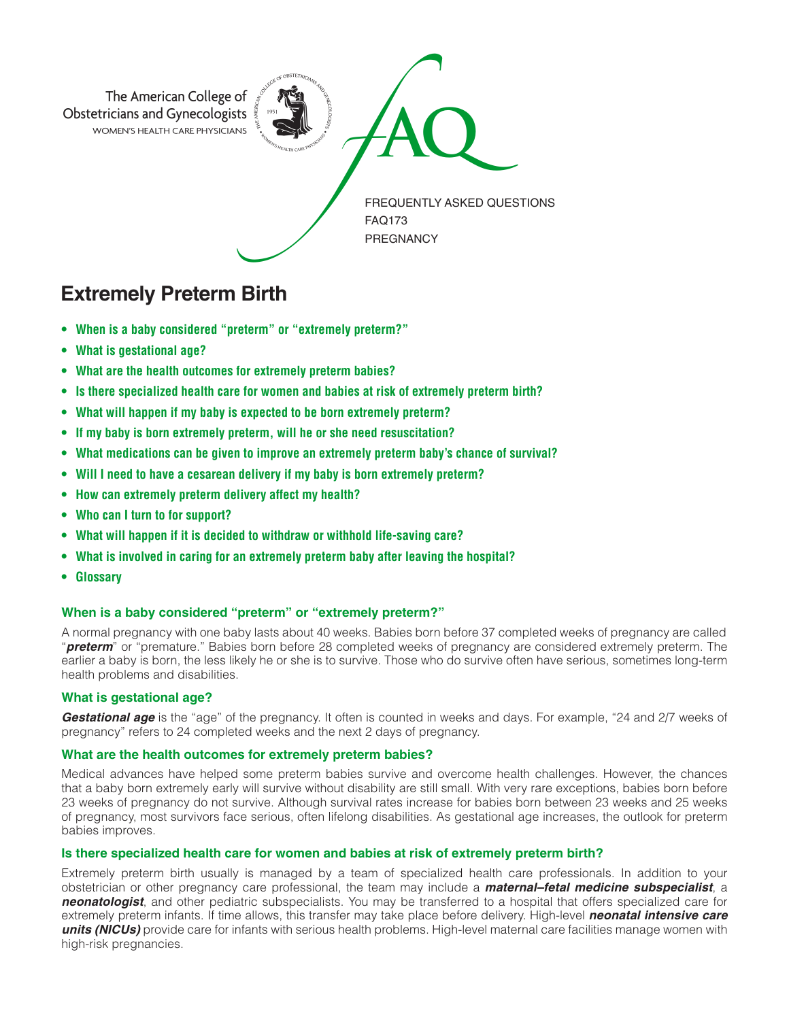

# **Extremely Preterm Birth**

- **When is a baby considered "preterm" or "extremely preterm?"**
- **What is gestational age?**
- **What are the health outcomes for extremely preterm babies?**
- **Is there specialized health care for women and babies at risk of extremely preterm birth?**
- **What will happen if my baby is expected to be born extremely preterm?**
- **If my baby is born extremely preterm, will he or she need resuscitation?**
- **What medications can be given to improve an extremely preterm baby's chance of survival?**
- **Will I need to have a cesarean delivery if my baby is born extremely preterm?**
- **How can extremely preterm delivery affect my health?**
- **Who can I turn to for support?**
- **What will happen if it is decided to withdraw or withhold life-saving care?**
- **What is involved in caring for an extremely preterm baby after leaving the hospital?**
- **Glossary**

# **When is a baby considered "preterm" or "extremely preterm?"**

A normal pregnancy with one baby lasts about 40 weeks. Babies born before 37 completed weeks of pregnancy are called "*preterm*" or "premature." Babies born before 28 completed weeks of pregnancy are considered extremely preterm. The earlier a baby is born, the less likely he or she is to survive. Those who do survive often have serious, sometimes long-term health problems and disabilities.

# **What is gestational age?**

*Gestational age* is the "age" of the pregnancy. It often is counted in weeks and days. For example, "24 and 2/7 weeks of pregnancy" refers to 24 completed weeks and the next 2 days of pregnancy.

# **What are the health outcomes for extremely preterm babies?**

Medical advances have helped some preterm babies survive and overcome health challenges. However, the chances that a baby born extremely early will survive without disability are still small. With very rare exceptions, babies born before 23 weeks of pregnancy do not survive. Although survival rates increase for babies born between 23 weeks and 25 weeks of pregnancy, most survivors face serious, often lifelong disabilities. As gestational age increases, the outlook for preterm babies improves.

# **Is there specialized health care for women and babies at risk of extremely preterm birth?**

Extremely preterm birth usually is managed by a team of specialized health care professionals. In addition to your obstetrician or other pregnancy care professional, the team may include a *maternal–fetal medicine subspecialist*, a *neonatologist*, and other pediatric subspecialists. You may be transferred to a hospital that offers specialized care for extremely preterm infants. If time allows, this transfer may take place before delivery. High-level *neonatal intensive care units (NICUs)* provide care for infants with serious health problems. High-level maternal care facilities manage women with high-risk pregnancies.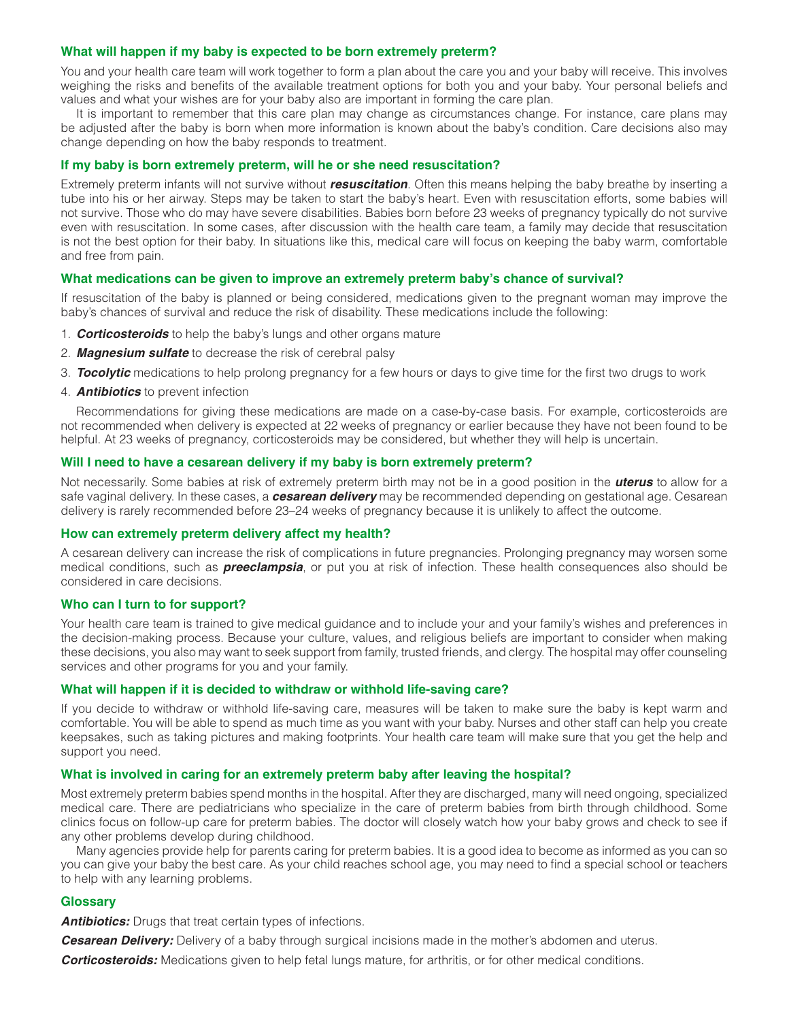## **What will happen if my baby is expected to be born extremely preterm?**

You and your health care team will work together to form a plan about the care you and your baby will receive. This involves weighing the risks and benefits of the available treatment options for both you and your baby. Your personal beliefs and values and what your wishes are for your baby also are important in forming the care plan.

It is important to remember that this care plan may change as circumstances change. For instance, care plans may be adjusted after the baby is born when more information is known about the baby's condition. Care decisions also may change depending on how the baby responds to treatment.

## **If my baby is born extremely preterm, will he or she need resuscitation?**

Extremely preterm infants will not survive without *resuscitation*. Often this means helping the baby breathe by inserting a tube into his or her airway. Steps may be taken to start the baby's heart. Even with resuscitation efforts, some babies will not survive. Those who do may have severe disabilities. Babies born before 23 weeks of pregnancy typically do not survive even with resuscitation. In some cases, after discussion with the health care team, a family may decide that resuscitation is not the best option for their baby. In situations like this, medical care will focus on keeping the baby warm, comfortable and free from pain.

## **What medications can be given to improve an extremely preterm baby's chance of survival?**

If resuscitation of the baby is planned or being considered, medications given to the pregnant woman may improve the baby's chances of survival and reduce the risk of disability. These medications include the following:

- 1. *Corticosteroids* to help the baby's lungs and other organs mature
- 2. *Magnesium sulfate* to decrease the risk of cerebral palsy
- 3. *Tocolytic* medications to help prolong pregnancy for a few hours or days to give time for the first two drugs to work
- 4. *Antibiotics* to prevent infection

Recommendations for giving these medications are made on a case-by-case basis. For example, corticosteroids are not recommended when delivery is expected at 22 weeks of pregnancy or earlier because they have not been found to be helpful. At 23 weeks of pregnancy, corticosteroids may be considered, but whether they will help is uncertain.

## **Will I need to have a cesarean delivery if my baby is born extremely preterm?**

Not necessarily. Some babies at risk of extremely preterm birth may not be in a good position in the *uterus* to allow for a safe vaginal delivery. In these cases, a *cesarean delivery* may be recommended depending on gestational age. Cesarean delivery is rarely recommended before 23–24 weeks of pregnancy because it is unlikely to affect the outcome.

#### **How can extremely preterm delivery affect my health?**

A cesarean delivery can increase the risk of complications in future pregnancies. Prolonging pregnancy may worsen some medical conditions, such as *preeclampsia*, or put you at risk of infection. These health consequences also should be considered in care decisions.

#### **Who can I turn to for support?**

Your health care team is trained to give medical guidance and to include your and your family's wishes and preferences in the decision-making process. Because your culture, values, and religious beliefs are important to consider when making these decisions, you also may want to seek support from family, trusted friends, and clergy. The hospital may offer counseling services and other programs for you and your family.

#### **What will happen if it is decided to withdraw or withhold life-saving care?**

If you decide to withdraw or withhold life-saving care, measures will be taken to make sure the baby is kept warm and comfortable. You will be able to spend as much time as you want with your baby. Nurses and other staff can help you create keepsakes, such as taking pictures and making footprints. Your health care team will make sure that you get the help and support you need.

#### **What is involved in caring for an extremely preterm baby after leaving the hospital?**

Most extremely preterm babies spend months in the hospital. After they are discharged, many will need ongoing, specialized medical care. There are pediatricians who specialize in the care of preterm babies from birth through childhood. Some clinics focus on follow-up care for preterm babies. The doctor will closely watch how your baby grows and check to see if any other problems develop during childhood.

Many agencies provide help for parents caring for preterm babies. It is a good idea to become as informed as you can so you can give your baby the best care. As your child reaches school age, you may need to find a special school or teachers to help with any learning problems.

# **Glossary**

**Antibiotics:** Drugs that treat certain types of infections.

**Cesarean Delivery:** Delivery of a baby through surgical incisions made in the mother's abdomen and uterus.

*Corticosteroids:* Medications given to help fetal lungs mature, for arthritis, or for other medical conditions.